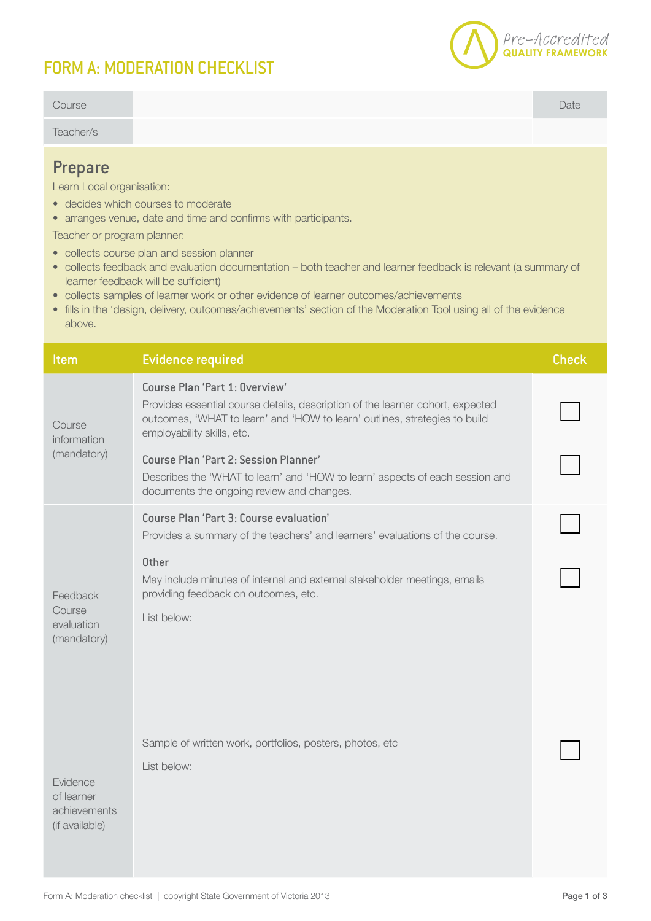## FORM A: MODERATION CHECKLIST



| Course                                                                                                                                                                                                                                                                                                                                                                                                                                                                                                                                                                                                               |                                                                                                                                                                                                                                                                                                                                                                                                           | Date         |  |  |
|----------------------------------------------------------------------------------------------------------------------------------------------------------------------------------------------------------------------------------------------------------------------------------------------------------------------------------------------------------------------------------------------------------------------------------------------------------------------------------------------------------------------------------------------------------------------------------------------------------------------|-----------------------------------------------------------------------------------------------------------------------------------------------------------------------------------------------------------------------------------------------------------------------------------------------------------------------------------------------------------------------------------------------------------|--------------|--|--|
| Teacher/s                                                                                                                                                                                                                                                                                                                                                                                                                                                                                                                                                                                                            |                                                                                                                                                                                                                                                                                                                                                                                                           |              |  |  |
| <b>Prepare</b><br>Learn Local organisation:<br>• decides which courses to moderate<br>• arranges venue, date and time and confirms with participants.<br>Teacher or program planner:<br>• collects course plan and session planner<br>· collects feedback and evaluation documentation - both teacher and learner feedback is relevant (a summary of<br>learner feedback will be sufficient)<br>• collects samples of learner work or other evidence of learner outcomes/achievements<br>• fills in the 'design, delivery, outcomes/achievements' section of the Moderation Tool using all of the evidence<br>above. |                                                                                                                                                                                                                                                                                                                                                                                                           |              |  |  |
| <b>Item</b>                                                                                                                                                                                                                                                                                                                                                                                                                                                                                                                                                                                                          | <b>Evidence required</b>                                                                                                                                                                                                                                                                                                                                                                                  | <b>Check</b> |  |  |
| Course<br>information<br>(mandatory)                                                                                                                                                                                                                                                                                                                                                                                                                                                                                                                                                                                 | Course Plan 'Part 1: Overview'<br>Provides essential course details, description of the learner cohort, expected<br>outcomes, 'WHAT to learn' and 'HOW to learn' outlines, strategies to build<br>employability skills, etc.<br><b>Course Plan 'Part 2: Session Planner'</b><br>Describes the 'WHAT to learn' and 'HOW to learn' aspects of each session and<br>documents the ongoing review and changes. |              |  |  |
| Feedback<br>Course<br>evaluation<br>(mandatory)                                                                                                                                                                                                                                                                                                                                                                                                                                                                                                                                                                      | Course Plan 'Part 3: Course evaluation'<br>Provides a summary of the teachers' and learners' evaluations of the course.                                                                                                                                                                                                                                                                                   |              |  |  |
|                                                                                                                                                                                                                                                                                                                                                                                                                                                                                                                                                                                                                      | <b>Other</b><br>May include minutes of internal and external stakeholder meetings, emails<br>providing feedback on outcomes, etc.<br>List below:                                                                                                                                                                                                                                                          |              |  |  |
| Evidence<br>of learner<br>achievements<br>(if available)                                                                                                                                                                                                                                                                                                                                                                                                                                                                                                                                                             | Sample of written work, portfolios, posters, photos, etc<br>List below:                                                                                                                                                                                                                                                                                                                                   |              |  |  |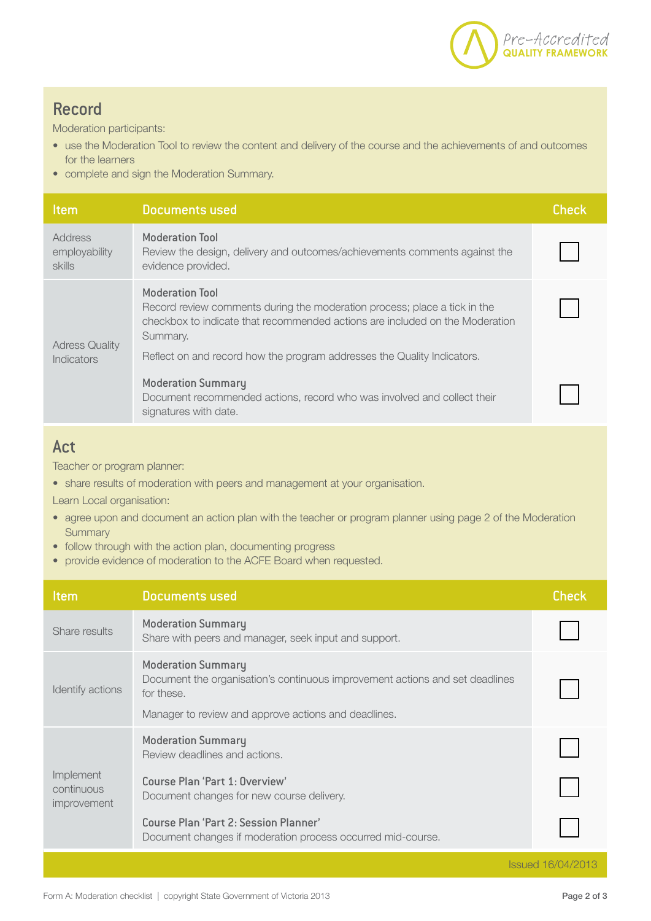

## Record

Moderation participants:

- use the Moderation Tool to review the content and delivery of the course and the achievements of and outcomes for the learners
- complete and sign the Moderation Summary.

| <b>Item</b>                                | Documents used                                                                                                                                                                                                                                                             | <b>Check</b> |
|--------------------------------------------|----------------------------------------------------------------------------------------------------------------------------------------------------------------------------------------------------------------------------------------------------------------------------|--------------|
| Address<br>employability<br><b>skills</b>  | <b>Moderation Tool</b><br>Review the design, delivery and outcomes/achievements comments against the<br>evidence provided.                                                                                                                                                 |              |
| <b>Adress Quality</b><br><b>Indicators</b> | <b>Moderation Tool</b><br>Record review comments during the moderation process; place a tick in the<br>checkbox to indicate that recommended actions are included on the Moderation<br>Summary.<br>Reflect on and record how the program addresses the Quality Indicators. |              |
|                                            | <b>Moderation Summary</b><br>Document recommended actions, record who was involved and collect their<br>signatures with date.                                                                                                                                              |              |

## Act

Teacher or program planner:

• share results of moderation with peers and management at your organisation.

Learn Local organisation:

- agree upon and document an action plan with the teacher or program planner using page 2 of the Moderation **Summary**
- follow through with the action plan, documenting progress
- provide evidence of moderation to the ACFE Board when requested.

| <b>Item</b>                            | <b>Documents used</b>                                                                                                                                                           | <b>Check</b> |
|----------------------------------------|---------------------------------------------------------------------------------------------------------------------------------------------------------------------------------|--------------|
| Share results                          | <b>Moderation Summary</b><br>Share with peers and manager, seek input and support.                                                                                              |              |
| Identify actions                       | <b>Moderation Summary</b><br>Document the organisation's continuous improvement actions and set deadlines<br>for these.<br>Manager to review and approve actions and deadlines. |              |
| Implement<br>continuous<br>improvement | <b>Moderation Summary</b><br>Review deadlines and actions.<br>Course Plan 'Part 1: Overview'                                                                                    |              |
|                                        | Document changes for new course delivery.<br>Course Plan 'Part 2: Session Planner'<br>Document changes if moderation process occurred mid-course.                               |              |
| <b>Issued 16/04/2013</b>               |                                                                                                                                                                                 |              |